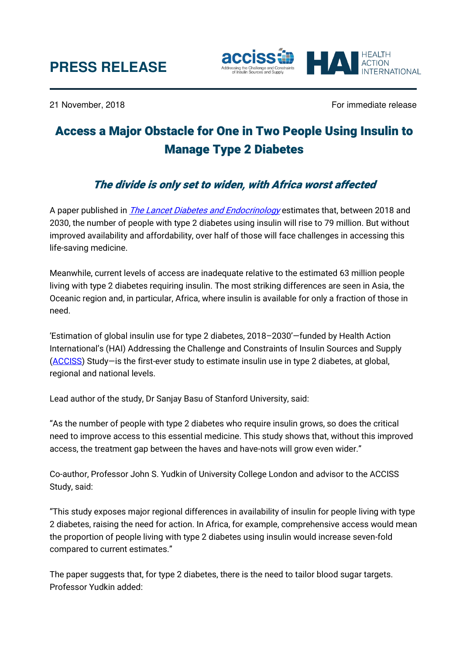

21 November, 2018 **For immediate release**  $\sim$  For immediate release

.....<br>ERNATIONAL

# Access a Major Obstacle for One in Two People Using Insulin to Manage Type 2 Diabetes

## The divide is only set to widen, with Africa worst affected

A paper published in *[The Lancet Diabetes and Endocrinology](http://www.thelancet.com/journals/landia/article/PIIS2213-8587(18)30303-6/fulltext)* estimates that, between 2018 and 2030, the number of people with type 2 diabetes using insulin will rise to 79 million. But without improved availability and affordability, over half of those will face challenges in accessing this life-saving medicine.

Meanwhile, current levels of access are inadequate relative to the estimated 63 million people living with type 2 diabetes requiring insulin. The most striking differences are seen in Asia, the Oceanic region and, in particular, Africa, where insulin is available for only a fraction of those in need.

'Estimation of global insulin use for type 2 diabetes, 2018–2030'—funded by Health Action International's (HAI) Addressing the Challenge and Constraints of Insulin Sources and Supply [\(ACCISS\)](http://haiweb.org/what-we-do/acciss/) Study—is the first-ever study to estimate insulin use in type 2 diabetes, at global, regional and national levels.

Lead author of the study, Dr Sanjay Basu of Stanford University, said:

"As the number of people with type 2 diabetes who require insulin grows, so does the critical need to improve access to this essential medicine. This study shows that, without this improved access, the treatment gap between the haves and have-nots will grow even wider."

Co-author, Professor John S. Yudkin of University College London and advisor to the ACCISS Study, said:

"This study exposes major regional differences in availability of insulin for people living with type 2 diabetes, raising the need for action. In Africa, for example, comprehensive access would mean the proportion of people living with type 2 diabetes using insulin would increase seven-fold compared to current estimates."

The paper suggests that, for type 2 diabetes, there is the need to tailor blood sugar targets. Professor Yudkin added: